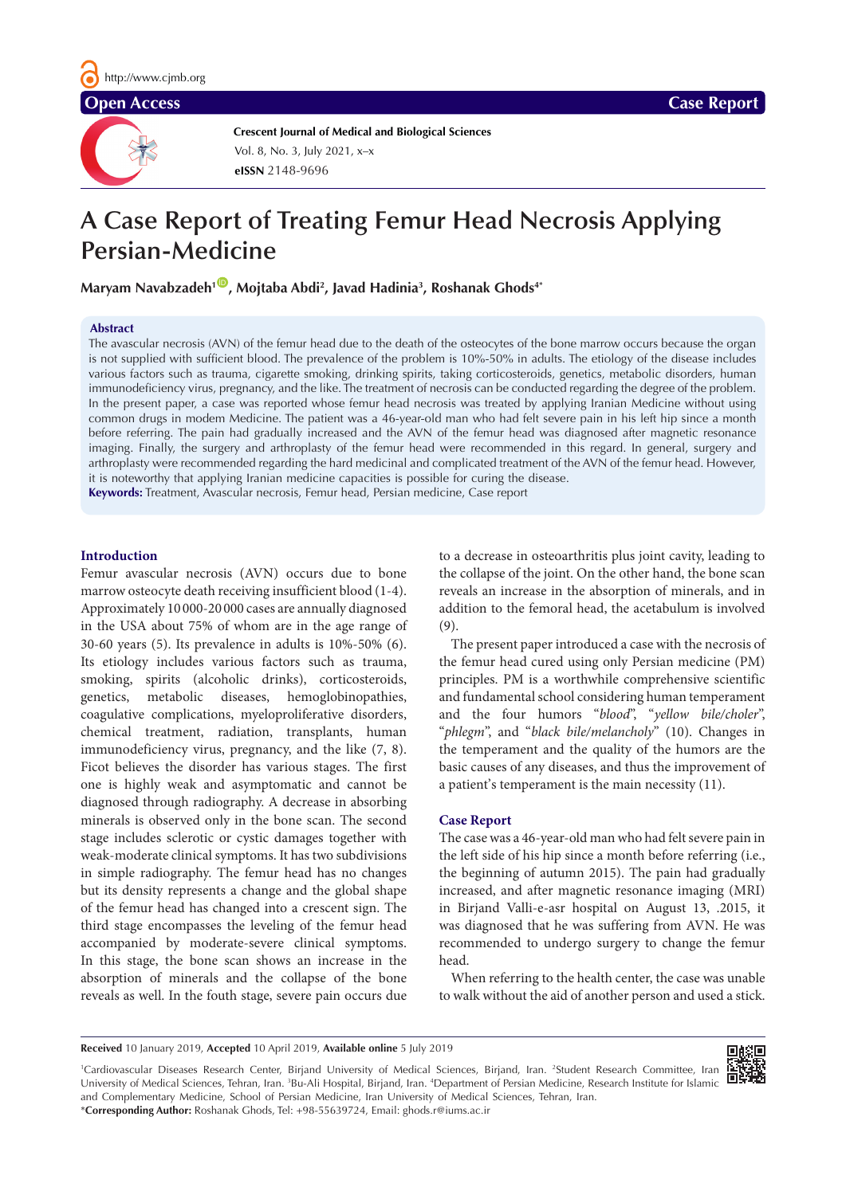

**Crescent Journal of Medical and Biological Sciences eISSN** 2148-9696 Vol. 8, No. 3, July 2021, x–x

# **A Case Report of Treating Femur Head Necrosis Applying Persian-Medicine**

Maryam Navabzadeh<sup>1©</sup>, Mojtaba Abdi<sup>2</sup>, Javad Hadinia<sup>3</sup>, Roshanak Ghods<del>4</del>\*

### **Abstract**

The avascular necrosis (AVN) of the femur head due to the death of the osteocytes of the bone marrow occurs because the organ is not supplied with sufficient blood. The prevalence of the problem is 10%-50% in adults. The etiology of the disease includes various factors such as trauma, cigarette smoking, drinking spirits, taking corticosteroids, genetics, metabolic disorders, human immunodeficiency virus, pregnancy, and the like. The treatment of necrosis can be conducted regarding the degree of the problem. In the present paper, a case was reported whose femur head necrosis was treated by applying Iranian Medicine without using common drugs in modem Medicine. The patient was a 46-year-old man who had felt severe pain in his left hip since a month before referring. The pain had gradually increased and the AVN of the femur head was diagnosed after magnetic resonance imaging. Finally, the surgery and arthroplasty of the femur head were recommended in this regard. In general, surgery and arthroplasty were recommended regarding the hard medicinal and complicated treatment of the AVN of the femur head. However, it is noteworthy that applying Iranian medicine capacities is possible for curing the disease. **Keywords:** Treatment, Avascular necrosis, Femur head, Persian medicine, Case report

# **Introduction**

Femur avascular necrosis (AVN) occurs due to bone marrow osteocyte death receiving insufficient blood (1-4). Approximately 10 000-20 000 cases are annually diagnosed in the USA about 75% of whom are in the age range of 30-60 years (5). Its prevalence in adults is 10%-50% (6). Its etiology includes various factors such as trauma, smoking, spirits (alcoholic drinks), corticosteroids, genetics, metabolic diseases, hemoglobinopathies, coagulative complications, myeloproliferative disorders, chemical treatment, radiation, transplants, human immunodeficiency virus, pregnancy, and the like (7, 8). Ficot believes the disorder has various stages. The first one is highly weak and asymptomatic and cannot be diagnosed through radiography. A decrease in absorbing minerals is observed only in the bone scan. The second stage includes sclerotic or cystic damages together with weak-moderate clinical symptoms. It has two subdivisions in simple radiography. The femur head has no changes but its density represents a change and the global shape of the femur head has changed into a crescent sign. The third stage encompasses the leveling of the femur head accompanied by moderate-severe clinical symptoms. In this stage, the bone scan shows an increase in the absorption of minerals and the collapse of the bone reveals as well. In the fouth stage, severe pain occurs due

to a decrease in osteoarthritis plus joint cavity, leading to the collapse of the joint. On the other hand, the bone scan reveals an increase in the absorption of minerals, and in addition to the femoral head, the acetabulum is involved (9).

The present paper introduced a case with the necrosis of the femur head cured using only Persian medicine (PM) principles. PM is a worthwhile comprehensive scientific and fundamental school considering human temperament and the four humors "*blood*", "*yellow bile/choler*", "*phlegm*", and "*black bile/melancholy*" (10). Changes in the temperament and the quality of the humors are the basic causes of any diseases, and thus the improvement of a patient's temperament is the main necessity (11).

# **Case Report**

The case was a 46-year-old man who had felt severe pain in the left side of his hip since a month before referring (i.e., the beginning of autumn 2015). The pain had gradually increased, and after magnetic resonance imaging (MRI) in Birjand Valli-e-asr hospital on August 13, .2015, it was diagnosed that he was suffering from AVN. He was recommended to undergo surgery to change the femur head.

When referring to the health center, the case was unable to walk without the aid of another person and used a stick.

**Received** 10 January 2019, **Accepted** 10 April 2019, **Available online** 5 July 2019

回报回

<sup>1</sup>Cardiovascular Diseases Research Center, Birjand University of Medical Sciences, Birjand, Iran. <sup>2</sup>Student Research Committee, Iran University of Medical Sciences, Tehran, Iran. <sup>3</sup>Bu-Ali Hospital, Birjand, Iran. <sup>4</sup>Department of Persian Medicine, Research Institute for Islamic and Complementary Medicine, School of Persian Medicine, Iran University of Medical Sciences, Tehran, Iran.

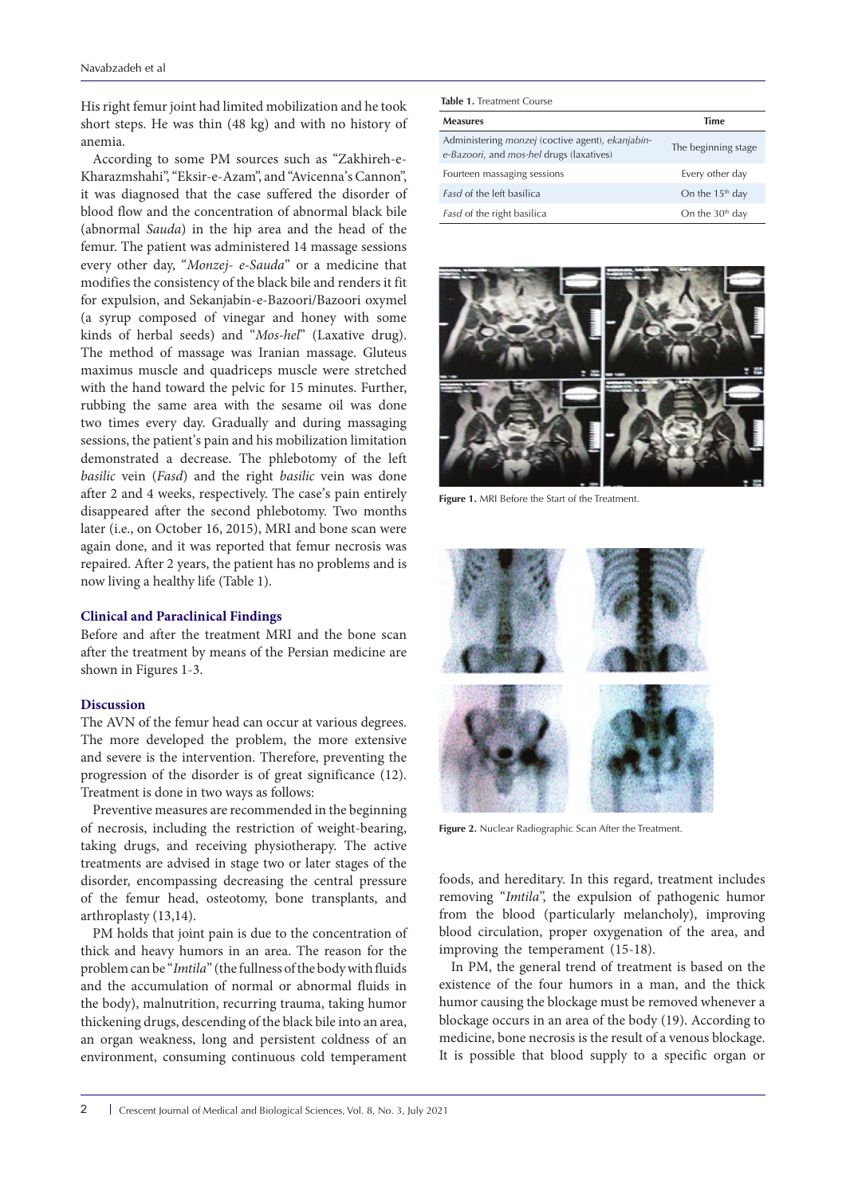His right femur joint had limited mobilization and he took short steps. He was thin (48 kg) and with no history of anemia.

According to some PM sources such as "Zakhireh-e-Kharazmshahi", "Eksir-e-Azam", and "Avicenna's Cannon", it was diagnosed that the case suffered the disorder of blood flow and the concentration of abnormal black bile (abnormal *Sauda*) in the hip area and the head of the femur. The patient was administered 14 massage sessions every other day, "*Monzej- e-Sauda*" or a medicine that modifies the consistency of the black bile and renders it fit for expulsion, and Sekanjabin-e-Bazoori/Bazoori oxymel (a syrup composed of vinegar and honey with some kinds of herbal seeds) and "*Mos-hel*" (Laxative drug). The method of massage was Iranian massage. Gluteus maximus muscle and quadriceps muscle were stretched with the hand toward the pelvic for 15 minutes. Further, rubbing the same area with the sesame oil was done two times every day. Gradually and during massaging sessions, the patient's pain and his mobilization limitation demonstrated a decrease. The phlebotomy of the left *basilic* vein (*Fasd*) and the right *basilic* vein was done after 2 and 4 weeks, respectively. The case's pain entirely disappeared after the second phlebotomy. Two months later (i.e., on October 16, 2015), MRI and bone scan were again done, and it was reported that femur necrosis was repaired. After 2 years, the patient has no problems and is now living a healthy life (Table 1).

#### **Clinical and Paraclinical Findings**

Before and after the treatment MRI and the bone scan after the treatment by means of the Persian medicine are shown in Figures 1-3.

# **Discussion**

The AVN of the femur head can occur at various degrees. The more developed the problem, the more extensive and severe is the intervention. Therefore, preventing the progression of the disorder is of great significance (12). Treatment is done in two ways as follows:

Preventive measures are recommended in the beginning of necrosis, including the restriction of weight-bearing, taking drugs, and receiving physiotherapy. The active treatments are advised in stage two or later stages of the disorder, encompassing decreasing the central pressure of the femur head, osteotomy, bone transplants, and arthroplasty (13,14).

PM holds that joint pain is due to the concentration of thick and heavy humors in an area. The reason for the problem can be "*Imtila*" (the fullness of the body with fluids and the accumulation of normal or abnormal fluids in the body), malnutrition, recurring trauma, taking humor thickening drugs, descending of the black bile into an area, an organ weakness, long and persistent coldness of an environment, consuming continuous cold temperament

| <b>Measures</b>                                                                              | Time                |
|----------------------------------------------------------------------------------------------|---------------------|
| Administering monzej (coctive agent), ekanjabin-<br>e-Bazoori, and mos-hel drugs (laxatives) | The beginning stage |
| Fourteen massaging sessions                                                                  | Every other day     |
| <i>Fasd</i> of the left basilica                                                             | On the $15th$ day   |
| Fasd of the right basilica                                                                   | On the $30th$ day   |



**Figure 1.** MRI Before the Start of the Treatment.



**Figure 2.** Nuclear Radiographic Scan After the Treatment.

foods, and hereditary. In this regard, treatment includes removing "*Imtila*", the expulsion of pathogenic humor from the blood (particularly melancholy), improving blood circulation, proper oxygenation of the area, and improving the temperament (15-18).

In PM, the general trend of treatment is based on the existence of the four humors in a man, and the thick humor causing the blockage must be removed whenever a blockage occurs in an area of the body (19). According to medicine, bone necrosis is the result of a venous blockage. It is possible that blood supply to a specific organ or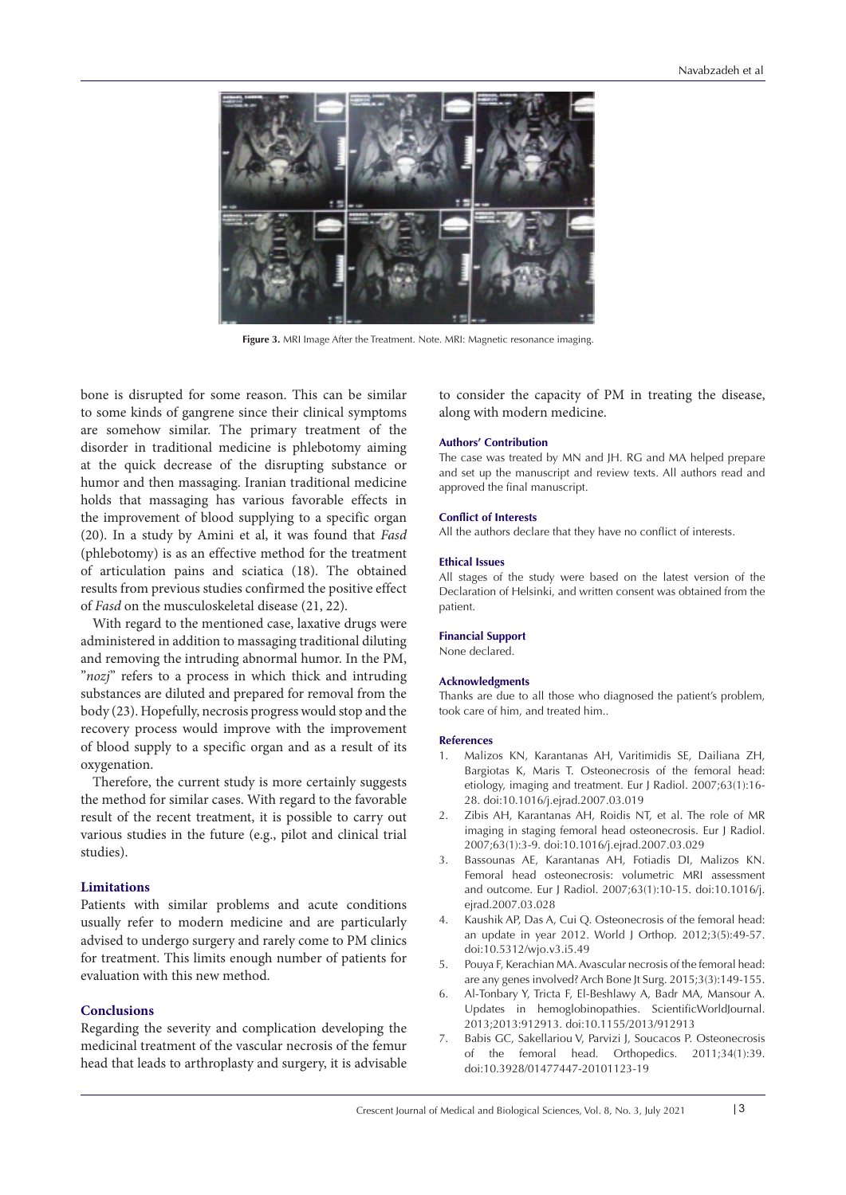

**Figure 3.** MRI Image After the Treatment. Note. MRI: Magnetic resonance imaging.

bone is disrupted for some reason. This can be similar to some kinds of gangrene since their clinical symptoms are somehow similar. The primary treatment of the disorder in traditional medicine is phlebotomy aiming at the quick decrease of the disrupting substance or humor and then massaging. Iranian traditional medicine holds that massaging has various favorable effects in the improvement of blood supplying to a specific organ (20). In a study by Amini et al, it was found that *Fasd* (phlebotomy) is as an effective method for the treatment of articulation pains and sciatica (18). The obtained results from previous studies confirmed the positive effect of *Fasd* on the musculoskeletal disease (21, 22).

With regard to the mentioned case, laxative drugs were administered in addition to massaging traditional diluting and removing the intruding abnormal humor. In the PM, "*nozj*" refers to a process in which thick and intruding substances are diluted and prepared for removal from the body (23). Hopefully, necrosis progress would stop and the recovery process would improve with the improvement of blood supply to a specific organ and as a result of its oxygenation.

Therefore, the current study is more certainly suggests the method for similar cases. With regard to the favorable result of the recent treatment, it is possible to carry out various studies in the future (e.g., pilot and clinical trial studies).

# **Limitations**

Patients with similar problems and acute conditions usually refer to modern medicine and are particularly advised to undergo surgery and rarely come to PM clinics for treatment. This limits enough number of patients for evaluation with this new method.

#### **Conclusions**

Regarding the severity and complication developing the medicinal treatment of the vascular necrosis of the femur head that leads to arthroplasty and surgery, it is advisable

to consider the capacity of PM in treating the disease, along with modern medicine.

#### **Authors' Contribution**

The case was treated by MN and JH. RG and MA helped prepare and set up the manuscript and review texts. All authors read and approved the final manuscript.

#### **Conflict of Interests**

All the authors declare that they have no conflict of interests.

#### **Ethical Issues**

All stages of the study were based on the latest version of the Declaration of Helsinki, and written consent was obtained from the patient.

#### **Financial Support**

None declared.

#### **Acknowledgments**

Thanks are due to all those who diagnosed the patient's problem, took care of him, and treated him..

#### **References**

- 1. Malizos KN, Karantanas AH, Varitimidis SE, Dailiana ZH, Bargiotas K, Maris T. Osteonecrosis of the femoral head: etiology, imaging and treatment. Eur J Radiol. 2007;63(1):16- 28. doi:10.1016/j.ejrad.2007.03.019
- 2. Zibis AH, Karantanas AH, Roidis NT, et al. The role of MR imaging in staging femoral head osteonecrosis. Eur J Radiol. 2007;63(1):3-9. doi:10.1016/j.ejrad.2007.03.029
- 3. Bassounas AE, Karantanas AH, Fotiadis DI, Malizos KN. Femoral head osteonecrosis: volumetric MRI assessment and outcome. Eur J Radiol. 2007;63(1):10-15. doi:10.1016/j. ejrad.2007.03.028
- 4. Kaushik AP, Das A, Cui Q. Osteonecrosis of the femoral head: an update in year 2012. World J Orthop. 2012;3(5):49-57. doi:10.5312/wjo.v3.i5.49
- 5. Pouya F, Kerachian MA. Avascular necrosis of the femoral head: are any genes involved? Arch Bone Jt Surg. 2015;3(3):149-155.
- 6. Al-Tonbary Y, Tricta F, El-Beshlawy A, Badr MA, Mansour A. Updates in hemoglobinopathies. ScientificWorldJournal. 2013;2013:912913. doi:10.1155/2013/912913
- 7. Babis GC, Sakellariou V, Parvizi J, Soucacos P. Osteonecrosis of the femoral head. Orthopedics. 2011;34(1):39. doi:10.3928/01477447-20101123-19